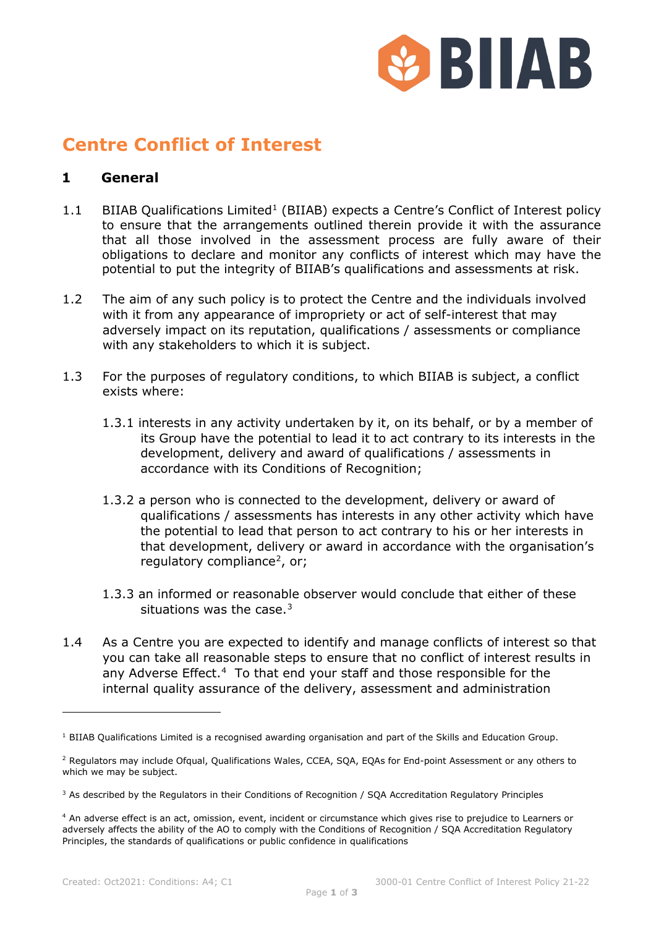

## **Centre Conflict of Interest**

## **1 General**

- [1](#page-0-0).1 BIIAB Qualifications Limited<sup>1</sup> (BIIAB) expects a Centre's Conflict of Interest policy to ensure that the arrangements outlined therein provide it with the assurance that all those involved in the assessment process are fully aware of their obligations to declare and monitor any conflicts of interest which may have the potential to put the integrity of BIIAB's qualifications and assessments at risk.
- 1.2 The aim of any such policy is to protect the Centre and the individuals involved with it from any appearance of impropriety or act of self-interest that may adversely impact on its reputation, qualifications / assessments or compliance with any stakeholders to which it is subject.
- 1.3 For the purposes of regulatory conditions, to which BIIAB is subject, a conflict exists where:
	- 1.3.1 interests in any activity undertaken by it, on its behalf, or by a member of its Group have the potential to lead it to act contrary to its interests in the development, delivery and award of qualifications / assessments in accordance with its Conditions of Recognition;
	- 1.3.2 a person who is connected to the development, delivery or award of qualifications / assessments has interests in any other activity which have the potential to lead that person to act contrary to his or her interests in that development, delivery or award in accordance with the organisation's regulatory compliance<sup>[2](#page-0-1)</sup>, or;
	- 1.3.3 an informed or reasonable observer would conclude that either of these situations was the case. $3$
- 1.4 As a Centre you are expected to identify and manage conflicts of interest so that you can take all reasonable steps to ensure that no conflict of interest results in any Adverse Effect.<sup>4</sup> To that end your staff and those responsible for the internal quality assurance of the delivery, assessment and administration

<span id="page-0-0"></span> $1$  BIIAB Qualifications Limited is a recognised awarding organisation and part of the Skills and Education Group.

<span id="page-0-1"></span><sup>&</sup>lt;sup>2</sup> Regulators may include Ofgual, Qualifications Wales, CCEA, SOA, EOAs for End-point Assessment or any others to which we may be subject.

<span id="page-0-2"></span><sup>&</sup>lt;sup>3</sup> As described by the Regulators in their Conditions of Recognition / SQA Accreditation Regulatory Principles

<span id="page-0-3"></span><sup>4</sup> An adverse effect is an act, omission, event, incident or circumstance which gives rise to prejudice to Learners or adversely affects the ability of the AO to comply with the Conditions of Recognition / SQA Accreditation Regulatory Principles, the standards of qualifications or public confidence in qualifications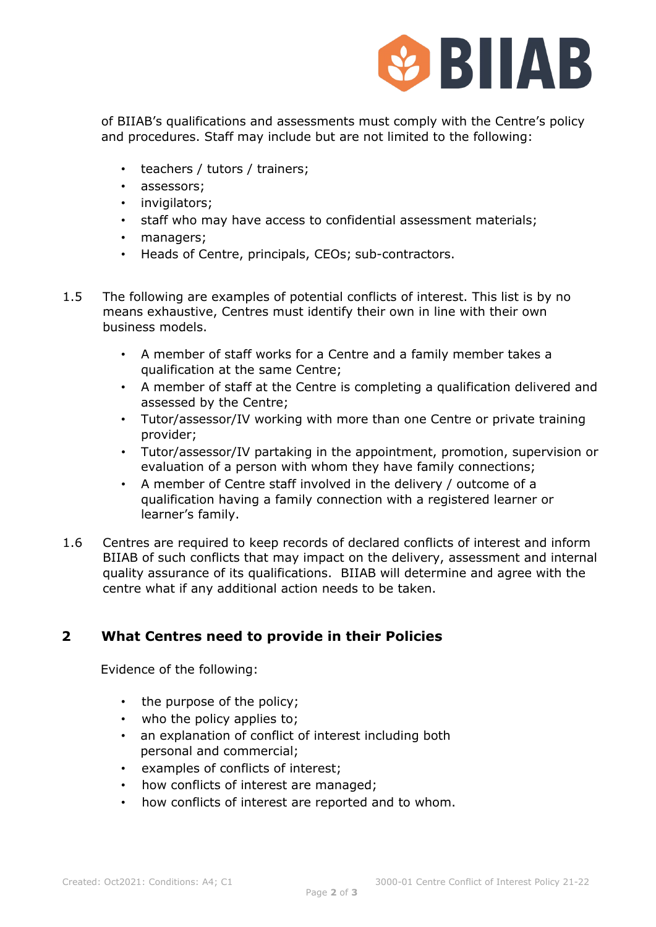

 of BIIAB's qualifications and assessments must comply with the Centre's policy and procedures. Staff may include but are not limited to the following:

- teachers / tutors / trainers;
- assessors;
- invigilators;
- staff who may have access to confidential assessment materials;
- managers;
- Heads of Centre, principals, CEOs; sub-contractors.
- 1.5 The following are examples of potential conflicts of interest. This list is by no means exhaustive, Centres must identify their own in line with their own business models.
	- A member of staff works for a Centre and a family member takes a qualification at the same Centre;
	- A member of staff at the Centre is completing a qualification delivered and assessed by the Centre;
	- Tutor/assessor/IV working with more than one Centre or private training provider;
	- Tutor/assessor/IV partaking in the appointment, promotion, supervision or evaluation of a person with whom they have family connections;
	- A member of Centre staff involved in the delivery / outcome of a qualification having a family connection with a registered learner or learner's family.
- 1.6 Centres are required to keep records of declared conflicts of interest and inform BIIAB of such conflicts that may impact on the delivery, assessment and internal quality assurance of its qualifications. BIIAB will determine and agree with the centre what if any additional action needs to be taken.

## **2 What Centres need to provide in their Policies**

Evidence of the following:

- the purpose of the policy;
- who the policy applies to;
- an explanation of conflict of interest including both personal and commercial;
- examples of conflicts of interest;
- how conflicts of interest are managed;
- how conflicts of interest are reported and to whom.